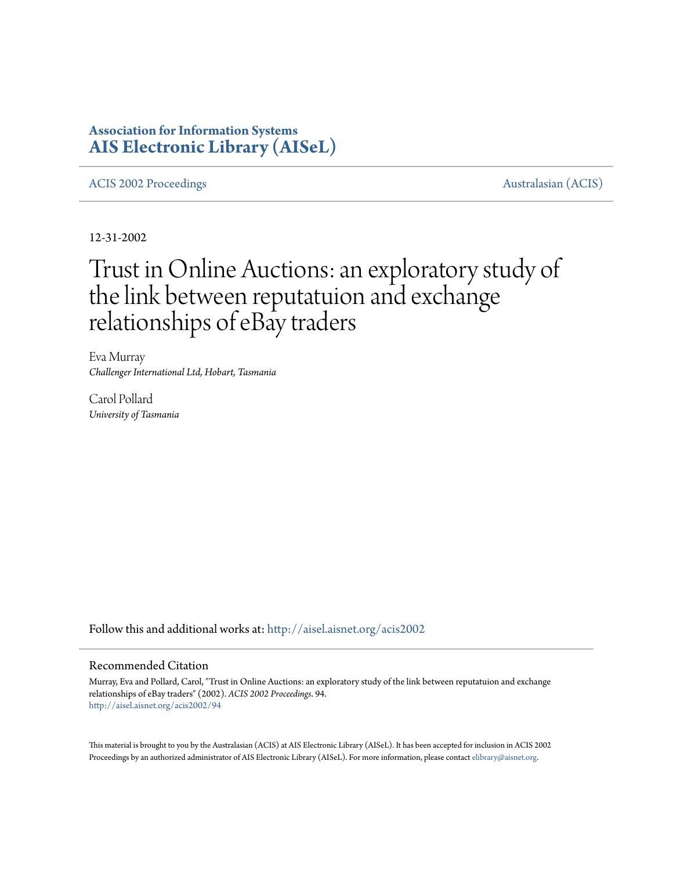# **Association for Information Systems [AIS Electronic Library \(AISeL\)](http://aisel.aisnet.org?utm_source=aisel.aisnet.org%2Facis2002%2F94&utm_medium=PDF&utm_campaign=PDFCoverPages)**

[ACIS 2002 Proceedings](http://aisel.aisnet.org/acis2002?utm_source=aisel.aisnet.org%2Facis2002%2F94&utm_medium=PDF&utm_campaign=PDFCoverPages) **Australasian** (ACIS)

12-31-2002

# Trust in Online Auctions: an exploratory study of the link between reputatuion and exchange relationships of eBay traders

Eva Murray *Challenger International Ltd, Hobart, Tasmania*

Carol Pollard *University of Tasmania*

Follow this and additional works at: [http://aisel.aisnet.org/acis2002](http://aisel.aisnet.org/acis2002?utm_source=aisel.aisnet.org%2Facis2002%2F94&utm_medium=PDF&utm_campaign=PDFCoverPages)

#### Recommended Citation

Murray, Eva and Pollard, Carol, "Trust in Online Auctions: an exploratory study of the link between reputatuion and exchange relationships of eBay traders" (2002). *ACIS 2002 Proceedings*. 94. [http://aisel.aisnet.org/acis2002/94](http://aisel.aisnet.org/acis2002/94?utm_source=aisel.aisnet.org%2Facis2002%2F94&utm_medium=PDF&utm_campaign=PDFCoverPages)

This material is brought to you by the Australasian (ACIS) at AIS Electronic Library (AISeL). It has been accepted for inclusion in ACIS 2002 Proceedings by an authorized administrator of AIS Electronic Library (AISeL). For more information, please contact [elibrary@aisnet.org](mailto:elibrary@aisnet.org%3E).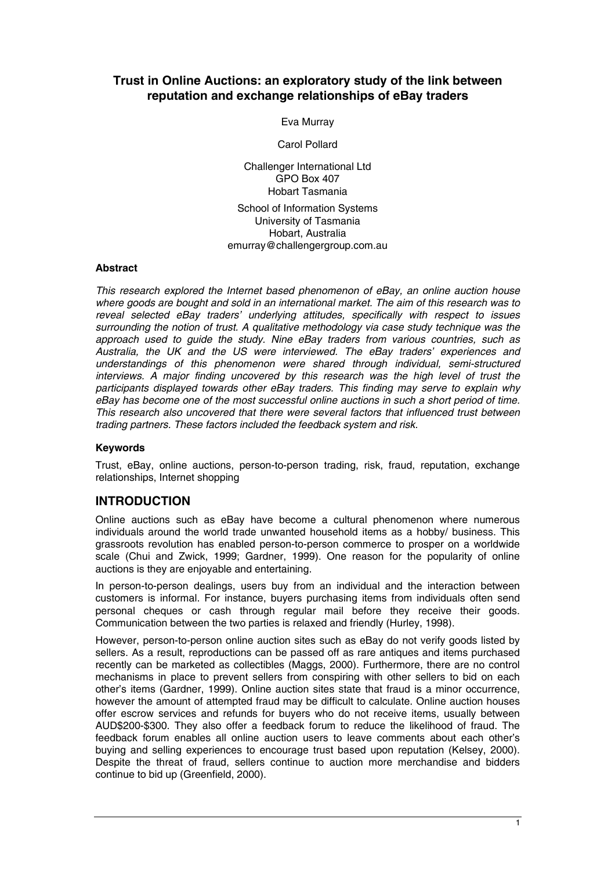# **Trust in Online Auctions: an exploratory study of the link between reputation and exchange relationships of eBay traders**

Eva Murray

Carol Pollard

Challenger International Ltd GPO Box 407 Hobart Tasmania School of Information Systems University of Tasmania Hobart, Australia emurray@challengergroup.com.au

#### **Abstract**

*This research explored the Internet based phenomenon of eBay, an online auction house where goods are bought and sold in an international market. The aim of this research was to reveal selected eBay traders' underlying attitudes, specifically with respect to issues surrounding the notion of trust. A qualitative methodology via case study technique was the approach used to guide the study. Nine eBay traders from various countries, such as Australia, the UK and the US were interviewed. The eBay traders' experiences and understandings of this phenomenon were shared through individual, semi-structured interviews. A major finding uncovered by this research was the high level of trust the participants displayed towards other eBay traders. This finding may serve to explain why eBay has become one of the most successful online auctions in such a short period of time. This research also uncovered that there were several factors that influenced trust between trading partners. These factors included the feedback system and risk.* 

## **Keywords**

Trust, eBay, online auctions, person-to-person trading, risk, fraud, reputation, exchange relationships, Internet shopping

# **INTRODUCTION**

Online auctions such as eBay have become a cultural phenomenon where numerous individuals around the world trade unwanted household items as a hobby/ business. This grassroots revolution has enabled person-to-person commerce to prosper on a worldwide scale (Chui and Zwick, 1999; Gardner, 1999). One reason for the popularity of online auctions is they are enjoyable and entertaining.

In person-to-person dealings, users buy from an individual and the interaction between customers is informal. For instance, buyers purchasing items from individuals often send personal cheques or cash through regular mail before they receive their goods. Communication between the two parties is relaxed and friendly (Hurley, 1998).

However, person-to-person online auction sites such as eBay do not verify goods listed by sellers. As a result, reproductions can be passed off as rare antiques and items purchased recently can be marketed as collectibles (Maggs, 2000). Furthermore, there are no control mechanisms in place to prevent sellers from conspiring with other sellers to bid on each other's items (Gardner, 1999). Online auction sites state that fraud is a minor occurrence, however the amount of attempted fraud may be difficult to calculate. Online auction houses offer escrow services and refunds for buyers who do not receive items, usually between AUD\$200-\$300. They also offer a feedback forum to reduce the likelihood of fraud. The feedback forum enables all online auction users to leave comments about each other's buying and selling experiences to encourage trust based upon reputation (Kelsey, 2000). Despite the threat of fraud, sellers continue to auction more merchandise and bidders continue to bid up (Greenfield, 2000).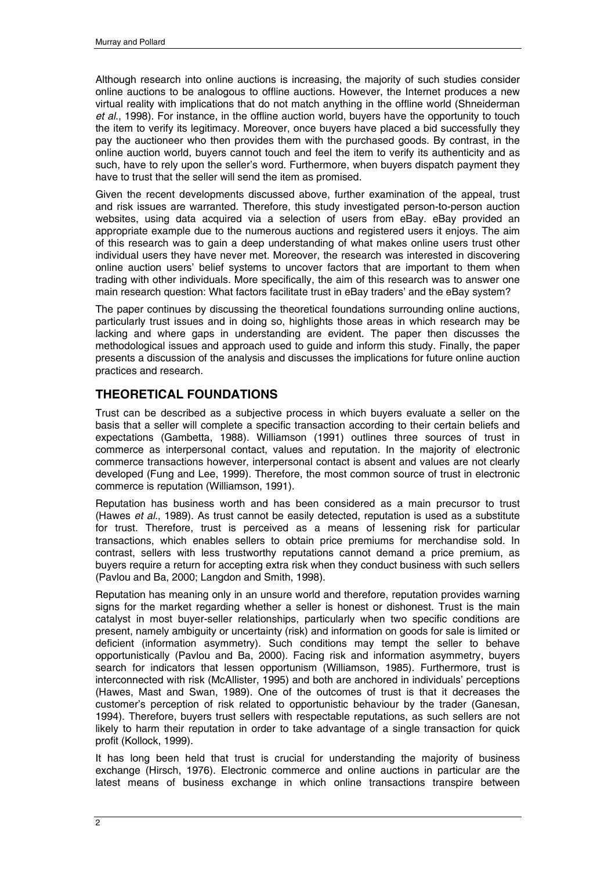Although research into online auctions is increasing, the majority of such studies consider online auctions to be analogous to offline auctions. However, the Internet produces a new virtual reality with implications that do not match anything in the offline world (Shneiderman *et al*., 1998). For instance, in the offline auction world, buyers have the opportunity to touch the item to verify its legitimacy. Moreover, once buyers have placed a bid successfully they pay the auctioneer who then provides them with the purchased goods. By contrast, in the online auction world, buyers cannot touch and feel the item to verify its authenticity and as such, have to rely upon the seller's word. Furthermore, when buyers dispatch payment they have to trust that the seller will send the item as promised.

Given the recent developments discussed above, further examination of the appeal, trust and risk issues are warranted. Therefore, this study investigated person-to-person auction websites, using data acquired via a selection of users from eBay. eBay provided an appropriate example due to the numerous auctions and registered users it enjoys. The aim of this research was to gain a deep understanding of what makes online users trust other individual users they have never met. Moreover, the research was interested in discovering online auction users' belief systems to uncover factors that are important to them when trading with other individuals. More specifically, the aim of this research was to answer one main research question: What factors facilitate trust in eBay traders' and the eBay system?

The paper continues by discussing the theoretical foundations surrounding online auctions, particularly trust issues and in doing so, highlights those areas in which research may be lacking and where gaps in understanding are evident. The paper then discusses the methodological issues and approach used to guide and inform this study. Finally, the paper presents a discussion of the analysis and discusses the implications for future online auction practices and research.

# **THEORETICAL FOUNDATIONS**

Trust can be described as a subjective process in which buyers evaluate a seller on the basis that a seller will complete a specific transaction according to their certain beliefs and expectations (Gambetta, 1988). Williamson (1991) outlines three sources of trust in commerce as interpersonal contact, values and reputation. In the majority of electronic commerce transactions however, interpersonal contact is absent and values are not clearly developed (Fung and Lee, 1999). Therefore, the most common source of trust in electronic commerce is reputation (Williamson, 1991).

Reputation has business worth and has been considered as a main precursor to trust (Hawes *et al*., 1989). As trust cannot be easily detected, reputation is used as a substitute for trust. Therefore, trust is perceived as a means of lessening risk for particular transactions, which enables sellers to obtain price premiums for merchandise sold. In contrast, sellers with less trustworthy reputations cannot demand a price premium, as buyers require a return for accepting extra risk when they conduct business with such sellers (Pavlou and Ba, 2000; Langdon and Smith, 1998).

Reputation has meaning only in an unsure world and therefore, reputation provides warning signs for the market regarding whether a seller is honest or dishonest. Trust is the main catalyst in most buyer-seller relationships, particularly when two specific conditions are present, namely ambiguity or uncertainty (risk) and information on goods for sale is limited or deficient (information asymmetry). Such conditions may tempt the seller to behave opportunistically (Pavlou and Ba, 2000). Facing risk and information asymmetry, buyers search for indicators that lessen opportunism (Williamson, 1985). Furthermore, trust is interconnected with risk (McAllister, 1995) and both are anchored in individuals' perceptions (Hawes, Mast and Swan, 1989). One of the outcomes of trust is that it decreases the customer's perception of risk related to opportunistic behaviour by the trader (Ganesan, 1994). Therefore, buyers trust sellers with respectable reputations, as such sellers are not likely to harm their reputation in order to take advantage of a single transaction for quick profit (Kollock, 1999).

It has long been held that trust is crucial for understanding the majority of business exchange (Hirsch, 1976). Electronic commerce and online auctions in particular are the latest means of business exchange in which online transactions transpire between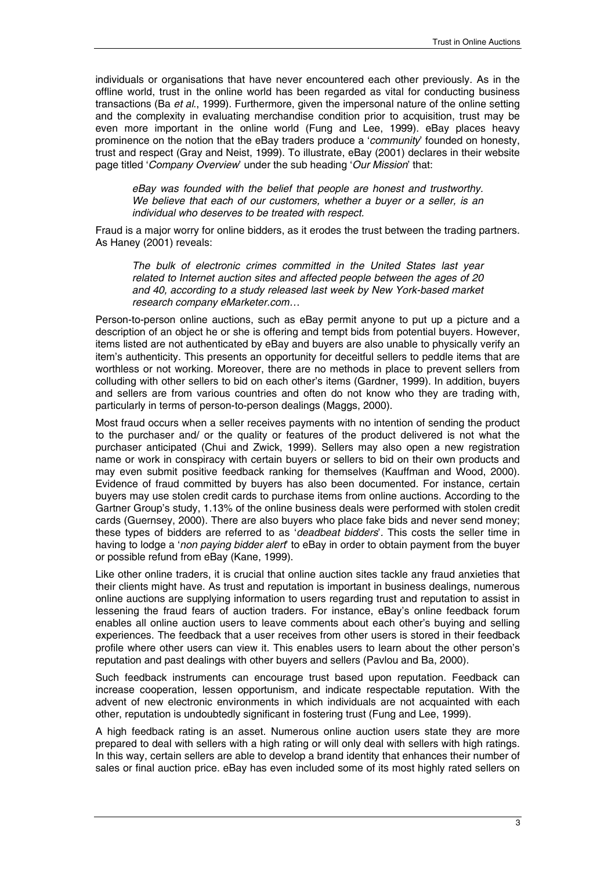individuals or organisations that have never encountered each other previously. As in the offline world, trust in the online world has been regarded as vital for conducting business transactions (Ba *et al*., 1999). Furthermore, given the impersonal nature of the online setting and the complexity in evaluating merchandise condition prior to acquisition, trust may be even more important in the online world (Fung and Lee, 1999). eBay places heavy prominence on the notion that the eBay traders produce a '*community*' founded on honesty, trust and respect (Gray and Neist, 1999). To illustrate, eBay (2001) declares in their website page titled '*Company Overview*' under the sub heading '*Our Mission*' that:

*eBay was founded with the belief that people are honest and trustworthy. We believe that each of our customers, whether a buyer or a seller, is an individual who deserves to be treated with respect.*

Fraud is a major worry for online bidders, as it erodes the trust between the trading partners. As Haney (2001) reveals:

*The bulk of electronic crimes committed in the United States last year related to Internet auction sites and affected people between the ages of 20 and 40, according to a study released last week by New York-based market research company eMarketer.com…* 

Person-to-person online auctions, such as eBay permit anyone to put up a picture and a description of an object he or she is offering and tempt bids from potential buyers. However, items listed are not authenticated by eBay and buyers are also unable to physically verify an item's authenticity. This presents an opportunity for deceitful sellers to peddle items that are worthless or not working. Moreover, there are no methods in place to prevent sellers from colluding with other sellers to bid on each other's items (Gardner, 1999). In addition, buyers and sellers are from various countries and often do not know who they are trading with, particularly in terms of person-to-person dealings (Maggs, 2000).

Most fraud occurs when a seller receives payments with no intention of sending the product to the purchaser and/ or the quality or features of the product delivered is not what the purchaser anticipated (Chui and Zwick, 1999). Sellers may also open a new registration name or work in conspiracy with certain buyers or sellers to bid on their own products and may even submit positive feedback ranking for themselves (Kauffman and Wood, 2000). Evidence of fraud committed by buyers has also been documented. For instance, certain buyers may use stolen credit cards to purchase items from online auctions. According to the Gartner Group's study, 1.13% of the online business deals were performed with stolen credit cards (Guernsey, 2000). There are also buyers who place fake bids and never send money; these types of bidders are referred to as '*deadbeat bidders*'*.* This costs the seller time in having to lodge a '*non paying bidder alert*' to eBay in order to obtain payment from the buyer or possible refund from eBay (Kane, 1999).

Like other online traders, it is crucial that online auction sites tackle any fraud anxieties that their clients might have. As trust and reputation is important in business dealings, numerous online auctions are supplying information to users regarding trust and reputation to assist in lessening the fraud fears of auction traders. For instance, eBay's online feedback forum enables all online auction users to leave comments about each other's buying and selling experiences. The feedback that a user receives from other users is stored in their feedback profile where other users can view it. This enables users to learn about the other person's reputation and past dealings with other buyers and sellers (Pavlou and Ba, 2000).

Such feedback instruments can encourage trust based upon reputation. Feedback can increase cooperation, lessen opportunism, and indicate respectable reputation. With the advent of new electronic environments in which individuals are not acquainted with each other, reputation is undoubtedly significant in fostering trust (Fung and Lee, 1999).

A high feedback rating is an asset. Numerous online auction users state they are more prepared to deal with sellers with a high rating or will only deal with sellers with high ratings. In this way, certain sellers are able to develop a brand identity that enhances their number of sales or final auction price. eBay has even included some of its most highly rated sellers on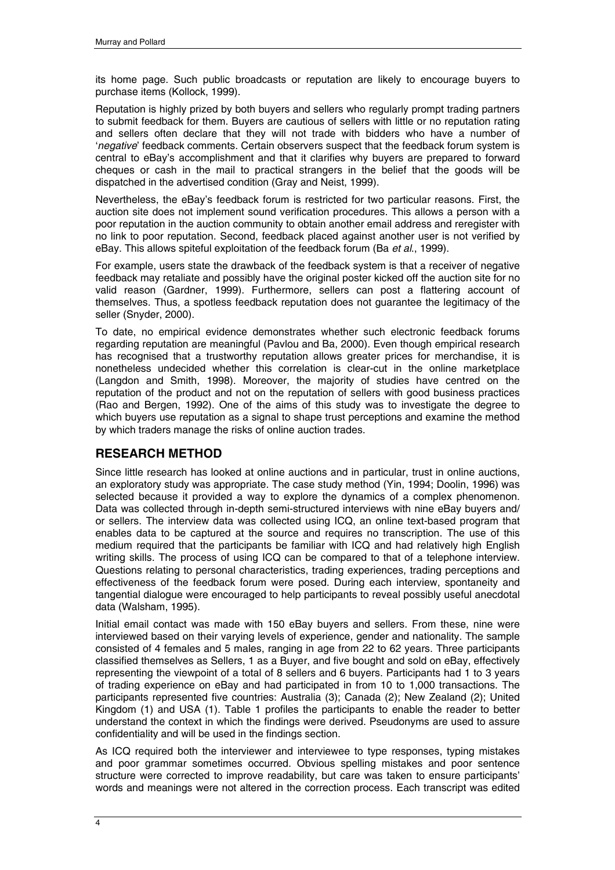its home page. Such public broadcasts or reputation are likely to encourage buyers to purchase items (Kollock, 1999).

Reputation is highly prized by both buyers and sellers who regularly prompt trading partners to submit feedback for them. Buyers are cautious of sellers with little or no reputation rating and sellers often declare that they will not trade with bidders who have a number of '*negative*' feedback comments. Certain observers suspect that the feedback forum system is central to eBay's accomplishment and that it clarifies why buyers are prepared to forward cheques or cash in the mail to practical strangers in the belief that the goods will be dispatched in the advertised condition (Gray and Neist, 1999).

Nevertheless, the eBay's feedback forum is restricted for two particular reasons. First, the auction site does not implement sound verification procedures. This allows a person with a poor reputation in the auction community to obtain another email address and reregister with no link to poor reputation. Second, feedback placed against another user is not verified by eBay. This allows spiteful exploitation of the feedback forum (Ba *et al*., 1999).

For example, users state the drawback of the feedback system is that a receiver of negative feedback may retaliate and possibly have the original poster kicked off the auction site for no valid reason (Gardner, 1999). Furthermore, sellers can post a flattering account of themselves. Thus, a spotless feedback reputation does not guarantee the legitimacy of the seller (Snyder, 2000).

To date, no empirical evidence demonstrates whether such electronic feedback forums regarding reputation are meaningful (Pavlou and Ba, 2000). Even though empirical research has recognised that a trustworthy reputation allows greater prices for merchandise, it is nonetheless undecided whether this correlation is clear-cut in the online marketplace (Langdon and Smith, 1998). Moreover, the majority of studies have centred on the reputation of the product and not on the reputation of sellers with good business practices (Rao and Bergen, 1992). One of the aims of this study was to investigate the degree to which buyers use reputation as a signal to shape trust perceptions and examine the method by which traders manage the risks of online auction trades.

# **RESEARCH METHOD**

Since little research has looked at online auctions and in particular, trust in online auctions, an exploratory study was appropriate. The case study method (Yin, 1994; Doolin, 1996) was selected because it provided a way to explore the dynamics of a complex phenomenon. Data was collected through in-depth semi-structured interviews with nine eBay buyers and/ or sellers. The interview data was collected using ICQ, an online text-based program that enables data to be captured at the source and requires no transcription. The use of this medium required that the participants be familiar with ICQ and had relatively high English writing skills. The process of using ICQ can be compared to that of a telephone interview. Questions relating to personal characteristics, trading experiences, trading perceptions and effectiveness of the feedback forum were posed. During each interview, spontaneity and tangential dialogue were encouraged to help participants to reveal possibly useful anecdotal data (Walsham, 1995).

Initial email contact was made with 150 eBay buyers and sellers. From these, nine were interviewed based on their varying levels of experience, gender and nationality. The sample consisted of 4 females and 5 males, ranging in age from 22 to 62 years. Three participants classified themselves as Sellers, 1 as a Buyer, and five bought and sold on eBay, effectively representing the viewpoint of a total of 8 sellers and 6 buyers. Participants had 1 to 3 years of trading experience on eBay and had participated in from 10 to 1,000 transactions. The participants represented five countries: Australia (3); Canada (2); New Zealand (2); United Kingdom (1) and USA (1). Table 1 profiles the participants to enable the reader to better understand the context in which the findings were derived. Pseudonyms are used to assure confidentiality and will be used in the findings section.

As ICQ required both the interviewer and interviewee to type responses, typing mistakes and poor grammar sometimes occurred. Obvious spelling mistakes and poor sentence structure were corrected to improve readability, but care was taken to ensure participants' words and meanings were not altered in the correction process. Each transcript was edited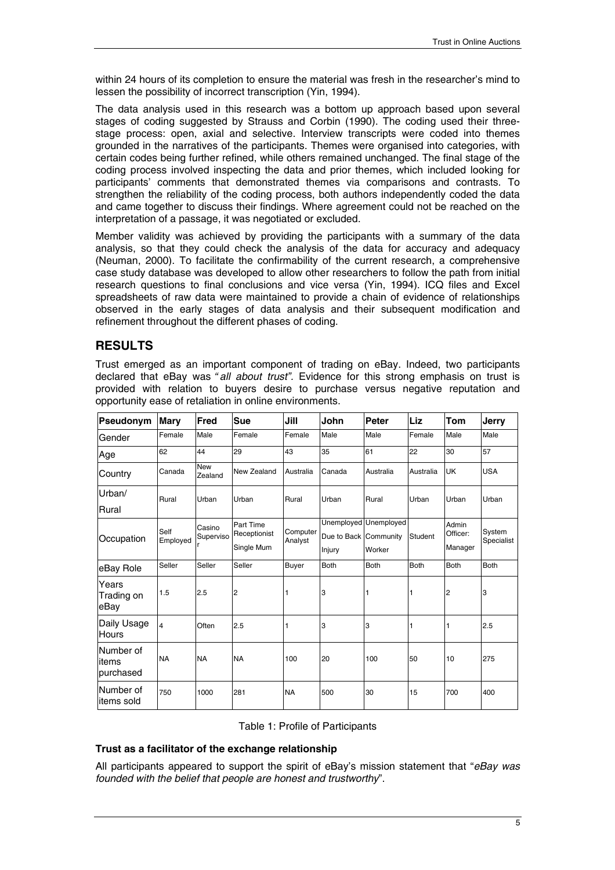within 24 hours of its completion to ensure the material was fresh in the researcher's mind to lessen the possibility of incorrect transcription (Yin, 1994).

The data analysis used in this research was a bottom up approach based upon several stages of coding suggested by Strauss and Corbin (1990). The coding used their threestage process: open, axial and selective. Interview transcripts were coded into themes grounded in the narratives of the participants. Themes were organised into categories, with certain codes being further refined, while others remained unchanged. The final stage of the coding process involved inspecting the data and prior themes, which included looking for participants' comments that demonstrated themes via comparisons and contrasts. To strengthen the reliability of the coding process, both authors independently coded the data and came together to discuss their findings. Where agreement could not be reached on the interpretation of a passage, it was negotiated or excluded.

Member validity was achieved by providing the participants with a summary of the data analysis, so that they could check the analysis of the data for accuracy and adequacy (Neuman, 2000). To facilitate the confirmability of the current research, a comprehensive case study database was developed to allow other researchers to follow the path from initial research questions to final conclusions and vice versa (Yin, 1994). ICQ files and Excel spreadsheets of raw data were maintained to provide a chain of evidence of relationships observed in the early stages of data analysis and their subsequent modification and refinement throughout the different phases of coding.

# **RESULTS**

Trust emerged as an important component of trading on eBay. Indeed, two participants declared that eBay was *"all about trust".* Evidence for this strong emphasis on trust is provided with relation to buyers desire to purchase versus negative reputation and opportunity ease of retaliation in online environments.

| Pseudonym                       | <b>Mary</b>             | Fred                     | <b>Sue</b>                                       | Jill      | John                  | Peter                 | Liz         | Tom         | <b>Jerry</b>         |
|---------------------------------|-------------------------|--------------------------|--------------------------------------------------|-----------|-----------------------|-----------------------|-------------|-------------|----------------------|
| Gender                          | Female                  | Male                     | Female                                           | Female    | Male                  | Male                  | Female      | Male        | Male                 |
| Age                             | 62                      | 44                       | 29                                               | 43        | 35                    | 61                    | 22          | 30          | 57                   |
| Country                         | Canada                  | <b>New</b><br>Zealand    | New Zealand                                      | Australia | Canada                | Australia             | Australia   | UK          | <b>USA</b>           |
| Urban/                          | Rural                   | Urban                    | Urban                                            | Rural     | Urban                 | Rural                 | Urban       | Urban       | Urban                |
| Rural                           |                         |                          |                                                  |           |                       |                       |             |             |                      |
| Occupation                      | Self<br>Employed        | Casino<br>Superviso<br>r | Part Time<br>Computer<br>Receptionist<br>Analyst |           |                       | Unemployed Unemployed |             | Admin       | System<br>Specialist |
|                                 |                         |                          |                                                  |           | Due to Back Community |                       | Student     | Officer:    |                      |
|                                 |                         |                          | Single Mum                                       |           | Injury                | Worker                |             | Manager     |                      |
| eBay Role                       | Seller                  | Seller                   | Seller                                           | Buyer     | <b>Both</b>           | <b>Both</b>           | <b>Both</b> | <b>Both</b> | <b>Both</b>          |
| Years<br>Trading on<br>eBay     | 1.5                     | 2.5                      | 2                                                |           | 3                     |                       | 1           | 2           | 3                    |
| Daily Usage<br><b>Hours</b>     | $\overline{\mathbf{4}}$ | Often                    | 2.5                                              |           | 3                     | 3                     | 1           | 1           | 2.5                  |
| Number of<br>items<br>purchased | <b>NA</b>               | <b>NA</b>                | <b>NA</b>                                        | 100       | 20                    | 100                   | 50          | 10          | 275                  |
| Number of<br>litems sold        | 750                     | 1000                     | 281                                              | <b>NA</b> | 500                   | 30                    | 15          | 700         | 400                  |

## Table 1: Profile of Participants

## **Trust as a facilitator of the exchange relationship**

All participants appeared to support the spirit of eBay's mission statement that "*eBay was founded with the belief that people are honest and trustworthy*".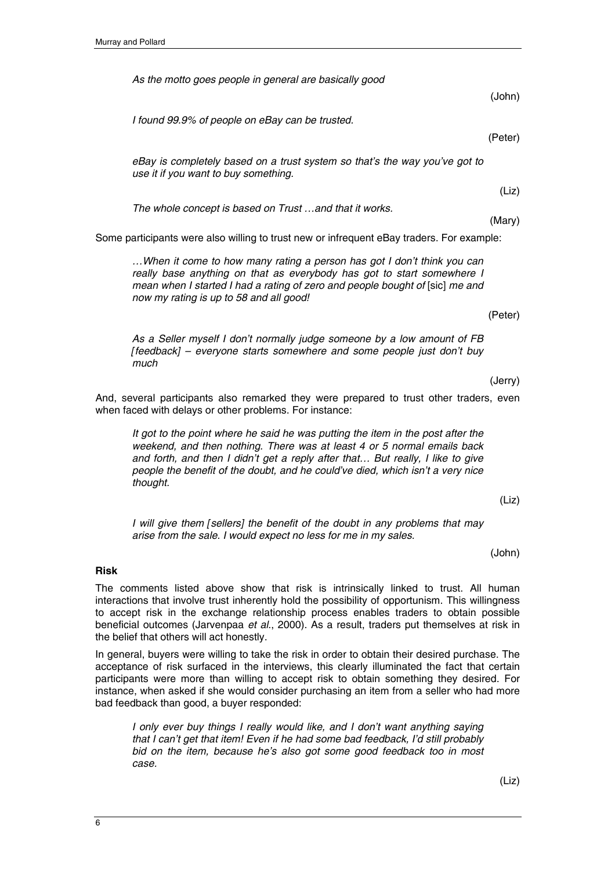*As the motto goes people in general are basically good* 

*I found 99.9% of people on eBay can be trusted.* 

*eBay is completely based on a trust system so that's the way you've got to use it if you want to buy something.* 

*The whole concept is based on Trust …and that it works.* 

Some participants were also willing to trust new or infrequent eBay traders. For example:

*…When it come to how many rating a person has got I don't think you can really base anything on that as everybody has got to start somewhere I mean when I started I had a rating of zero and people bought of [sic] me and now my rating is up to 58 and all good!* 

(Peter)

(John)

(Peter)

(Liz)

(Mary)

*As a Seller myself I don't normally judge someone by a low amount of FB [feedback] – everyone starts somewhere and some people just don't buy much* 

(Jerry)

And, several participants also remarked they were prepared to trust other traders, even when faced with delays or other problems. For instance:

*It got to the point where he said he was putting the item in the post after the weekend, and then nothing. There was at least 4 or 5 normal emails back and forth, and then I didn't get a reply after that… But really, I like to give people the benefit of the doubt, and he could've died, which isn't a very nice thought.* 

(Liz)

*I* will give them [sellers] the benefit of the doubt in any problems that may *arise from the sale. I would expect no less for me in my sales.* 

(John)

#### **Risk**

The comments listed above show that risk is intrinsically linked to trust. All human interactions that involve trust inherently hold the possibility of opportunism. This willingness to accept risk in the exchange relationship process enables traders to obtain possible beneficial outcomes (Jarvenpaa *et al*., 2000). As a result, traders put themselves at risk in the belief that others will act honestly.

In general, buyers were willing to take the risk in order to obtain their desired purchase. The acceptance of risk surfaced in the interviews, this clearly illuminated the fact that certain participants were more than willing to accept risk to obtain something they desired. For instance, when asked if she would consider purchasing an item from a seller who had more bad feedback than good, a buyer responded:

*I only ever buy things I really would like, and I don't want anything saying that I can't get that item! Even if he had some bad feedback, I'd still probably bid on the item, because he's also got some good feedback too in most case.* 

(Liz)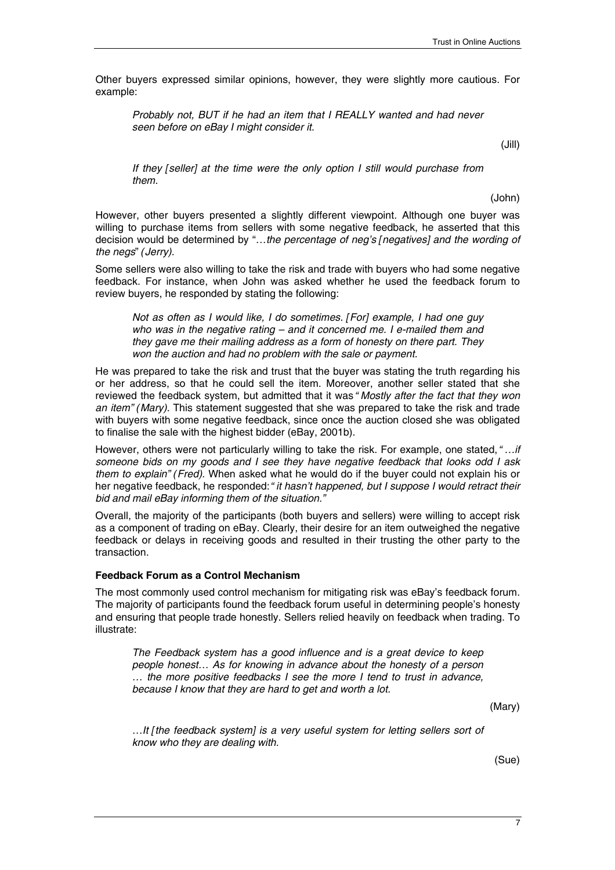Other buyers expressed similar opinions, however, they were slightly more cautious. For example:

*Probably not, BUT if he had an item that I REALLY wanted and had never seen before on eBay I might consider it.* 

(Jill)

*If they [seller] at the time were the only option I still would purchase from them.* 

(John)

However, other buyers presented a slightly different viewpoint. Although one buyer was willing to purchase items from sellers with some negative feedback, he asserted that this decision would be determined by "…*the percentage of neg's [negatives] and the wording of the negs*" *(Jerry).* 

Some sellers were also willing to take the risk and trade with buyers who had some negative feedback. For instance, when John was asked whether he used the feedback forum to review buyers, he responded by stating the following:

*Not as often as I would like, I do sometimes. [For] example, I had one guy who was in the negative rating – and it concerned me. I e-mailed them and they gave me their mailing address as a form of honesty on there part. They won the auction and had no problem with the sale or payment.* 

He was prepared to take the risk and trust that the buyer was stating the truth regarding his or her address, so that he could sell the item. Moreover, another seller stated that she reviewed the feedback system, but admitted that it was *"Mostly after the fact that they won an item" (Mary).* This statement suggested that she was prepared to take the risk and trade with buyers with some negative feedback, since once the auction closed she was obligated to finalise the sale with the highest bidder (eBay, 2001b).

However, others were not particularly willing to take the risk. For example, one stated, *"…if someone bids on my goods and I see they have negative feedback that looks odd I ask them to explain" (Fred).* When asked what he would do if the buyer could not explain his or her negative feedback, he responded: *"it hasn't happened, but I suppose I would retract their bid and mail eBay informing them of the situation."* 

Overall, the majority of the participants (both buyers and sellers) were willing to accept risk as a component of trading on eBay. Clearly, their desire for an item outweighed the negative feedback or delays in receiving goods and resulted in their trusting the other party to the transaction.

#### **Feedback Forum as a Control Mechanism**

The most commonly used control mechanism for mitigating risk was eBay's feedback forum. The majority of participants found the feedback forum useful in determining people's honesty and ensuring that people trade honestly. Sellers relied heavily on feedback when trading. To illustrate:

*The Feedback system has a good influence and is a great device to keep people honest… As for knowing in advance about the honesty of a person … the more positive feedbacks I see the more I tend to trust in advance, because I know that they are hard to get and worth a lot.* 

(Mary)

*…It [the feedback system] is a very useful system for letting sellers sort of know who they are dealing with.* 

(Sue)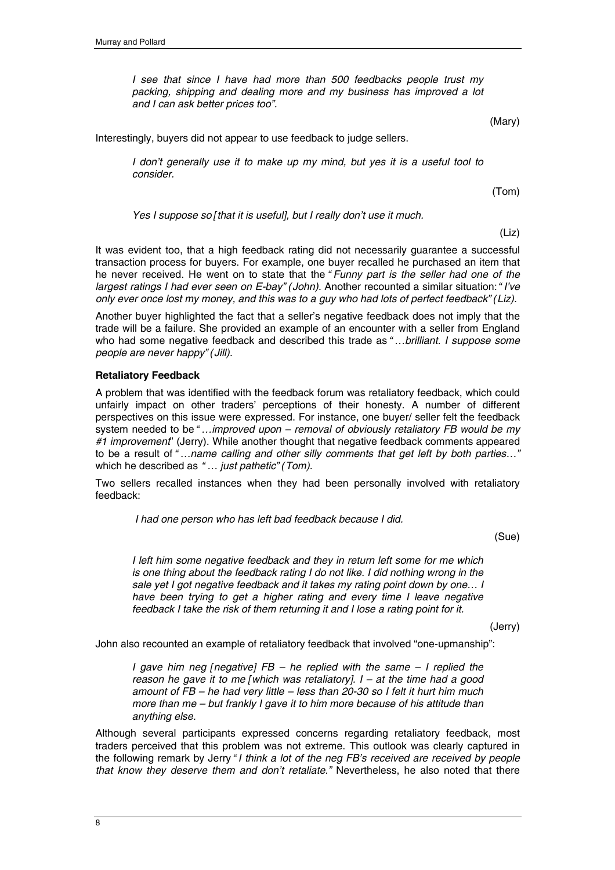*I see that since I have had more than 500 feedbacks people trust my packing, shipping and dealing more and my business has improved a lot and I can ask better prices too".* 

(Mary)

Interestingly, buyers did not appear to use feedback to judge sellers.

*I don't generally use it to make up my mind, but yes it is a useful tool to consider.* 

(Tom)

*Yes I suppose so [that it is useful], but I really don't use it much.* 

(Liz)

It was evident too, that a high feedback rating did not necessarily guarantee a successful transaction process for buyers. For example, one buyer recalled he purchased an item that he never received. He went on to state that the *"Funny part is the seller had one of the largest ratings I had ever seen on E-bay" (John).* Another recounted a similar situation: *"I've only ever once lost my money, and this was to a guy who had lots of perfect feedback" (Liz).*

Another buyer highlighted the fact that a seller's negative feedback does not imply that the trade will be a failure. She provided an example of an encounter with a seller from England who had some negative feedback and described this trade as *"…brilliant. I suppose some people are never happy" (Jill).*

#### **Retaliatory Feedback**

A problem that was identified with the feedback forum was retaliatory feedback, which could unfairly impact on other traders' perceptions of their honesty. A number of different perspectives on this issue were expressed. For instance, one buyer/ seller felt the feedback system needed to be *"…improved upon – removal of obviously retaliatory FB would be my #1 improvement*" (Jerry). While another thought that negative feedback comments appeared to be a result of *"…name calling and other silly comments that get left by both parties…"*  which he described as *"… just pathetic" (Tom).*

Two sellers recalled instances when they had been personally involved with retaliatory feedback:

 *I had one person who has left bad feedback because I did.* 

(Sue)

*I left him some negative feedback and they in return left some for me which is one thing about the feedback rating I do not like. I did nothing wrong in the sale yet I got negative feedback and it takes my rating point down by one… I have been trying to get a higher rating and every time I leave negative feedback I take the risk of them returning it and I lose a rating point for it.* 

(Jerry)

John also recounted an example of retaliatory feedback that involved "one-upmanship":

*I gave him neg [negative] FB – he replied with the same – I replied the reason he gave it to me [which was retaliatory]. I – at the time had a good amount of FB – he had very little – less than 20-30 so I felt it hurt him much more than me – but frankly I gave it to him more because of his attitude than anything else.* 

Although several participants expressed concerns regarding retaliatory feedback, most traders perceived that this problem was not extreme. This outlook was clearly captured in the following remark by Jerry *"I think a lot of the neg FB's received are received by people that know they deserve them and don't retaliate."* Nevertheless, he also noted that there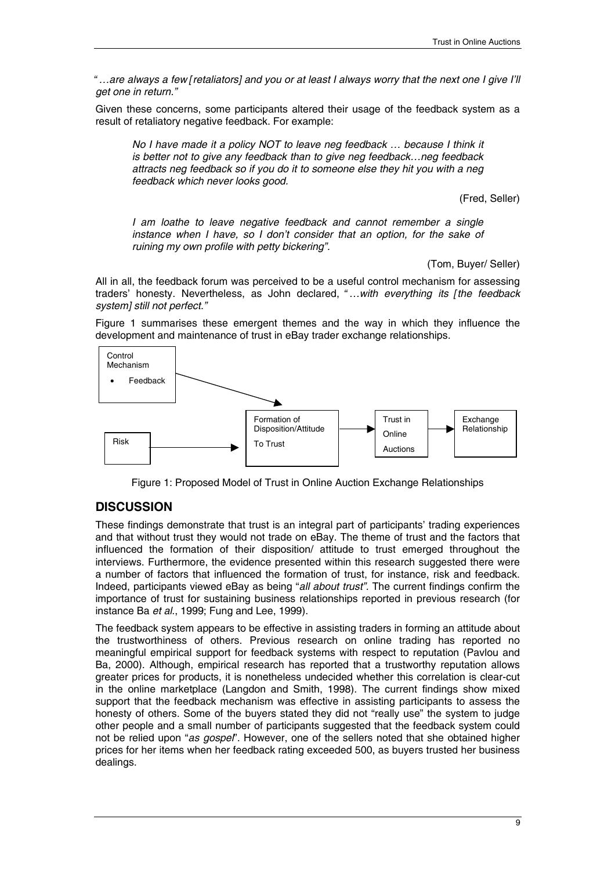*"…are always a few [retaliators] and you or at least I always worry that the next one I give I'll get one in return."* 

Given these concerns, some participants altered their usage of the feedback system as a result of retaliatory negative feedback. For example:

*No I have made it a policy NOT to leave neg feedback ... because I think it is better not to give any feedback than to give neg feedback…neg feedback attracts neg feedback so if you do it to someone else they hit you with a neg feedback which never looks good.* 

(Fred, Seller)

*I am loathe to leave negative feedback and cannot remember a single instance when I have, so I don't consider that an option, for the sake of ruining my own profile with petty bickering".* 

(Tom, Buyer/ Seller)

All in all, the feedback forum was perceived to be a useful control mechanism for assessing traders' honesty. Nevertheless, as John declared, *"…with everything its [the feedback system] still not perfect."*

Figure 1 summarises these emergent themes and the way in which they influence the development and maintenance of trust in eBay trader exchange relationships.



Figure 1: Proposed Model of Trust in Online Auction Exchange Relationships

# **DISCUSSION**

These findings demonstrate that trust is an integral part of participants' trading experiences and that without trust they would not trade on eBay. The theme of trust and the factors that influenced the formation of their disposition/ attitude to trust emerged throughout the interviews. Furthermore, the evidence presented within this research suggested there were a number of factors that influenced the formation of trust, for instance, risk and feedback. Indeed, participants viewed eBay as being "*all about trust".* The current findings confirm the importance of trust for sustaining business relationships reported in previous research (for instance Ba *et al*., 1999; Fung and Lee, 1999).

The feedback system appears to be effective in assisting traders in forming an attitude about the trustworthiness of others. Previous research on online trading has reported no meaningful empirical support for feedback systems with respect to reputation (Pavlou and Ba, 2000). Although, empirical research has reported that a trustworthy reputation allows greater prices for products, it is nonetheless undecided whether this correlation is clear-cut in the online marketplace (Langdon and Smith, 1998). The current findings show mixed support that the feedback mechanism was effective in assisting participants to assess the honesty of others. Some of the buyers stated they did not "really use" the system to judge other people and a small number of participants suggested that the feedback system could not be relied upon "*as gospel*". However, one of the sellers noted that she obtained higher prices for her items when her feedback rating exceeded 500, as buyers trusted her business dealings.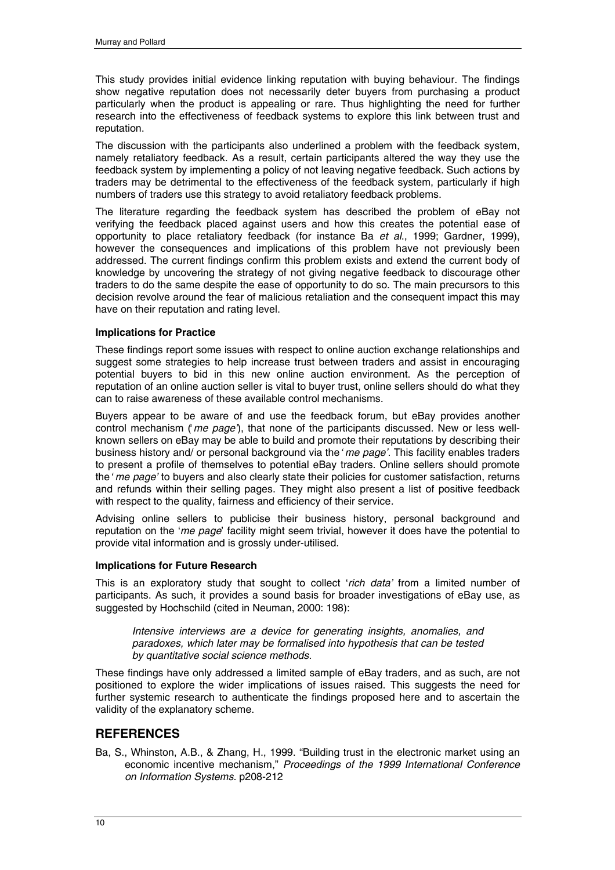This study provides initial evidence linking reputation with buying behaviour. The findings show negative reputation does not necessarily deter buyers from purchasing a product particularly when the product is appealing or rare. Thus highlighting the need for further research into the effectiveness of feedback systems to explore this link between trust and reputation.

The discussion with the participants also underlined a problem with the feedback system, namely retaliatory feedback. As a result, certain participants altered the way they use the feedback system by implementing a policy of not leaving negative feedback. Such actions by traders may be detrimental to the effectiveness of the feedback system, particularly if high numbers of traders use this strategy to avoid retaliatory feedback problems.

The literature regarding the feedback system has described the problem of eBay not verifying the feedback placed against users and how this creates the potential ease of opportunity to place retaliatory feedback (for instance Ba *et al*., 1999; Gardner, 1999), however the consequences and implications of this problem have not previously been addressed. The current findings confirm this problem exists and extend the current body of knowledge by uncovering the strategy of not giving negative feedback to discourage other traders to do the same despite the ease of opportunity to do so. The main precursors to this decision revolve around the fear of malicious retaliation and the consequent impact this may have on their reputation and rating level.

#### **Implications for Practice**

These findings report some issues with respect to online auction exchange relationships and suggest some strategies to help increase trust between traders and assist in encouraging potential buyers to bid in this new online auction environment. As the perception of reputation of an online auction seller is vital to buyer trust, online sellers should do what they can to raise awareness of these available control mechanisms.

Buyers appear to be aware of and use the feedback forum, but eBay provides another control mechanism (*'me page'*), that none of the participants discussed. New or less wellknown sellers on eBay may be able to build and promote their reputations by describing their business history and/ or personal background via the *'me page'*. This facility enables traders to present a profile of themselves to potential eBay traders. Online sellers should promote the *'me page'* to buyers and also clearly state their policies for customer satisfaction, returns and refunds within their selling pages. They might also present a list of positive feedback with respect to the quality, fairness and efficiency of their service*.*

Advising online sellers to publicise their business history, personal background and reputation on the '*me page*' facility might seem trivial, however it does have the potential to provide vital information and is grossly under-utilised.

#### **Implications for Future Research**

This is an exploratory study that sought to collect '*rich data'* from a limited number of participants. As such, it provides a sound basis for broader investigations of eBay use, as suggested by Hochschild (cited in Neuman, 2000: 198):

*Intensive interviews are a device for generating insights, anomalies, and paradoxes, which later may be formalised into hypothesis that can be tested by quantitative social science methods.* 

These findings have only addressed a limited sample of eBay traders, and as such, are not positioned to explore the wider implications of issues raised. This suggests the need for further systemic research to authenticate the findings proposed here and to ascertain the validity of the explanatory scheme.

# **REFERENCES**

Ba, S., Whinston, A.B., & Zhang, H., 1999. "Building trust in the electronic market using an economic incentive mechanism," *Proceedings of the 1999 International Conference on Information Systems*. p208-212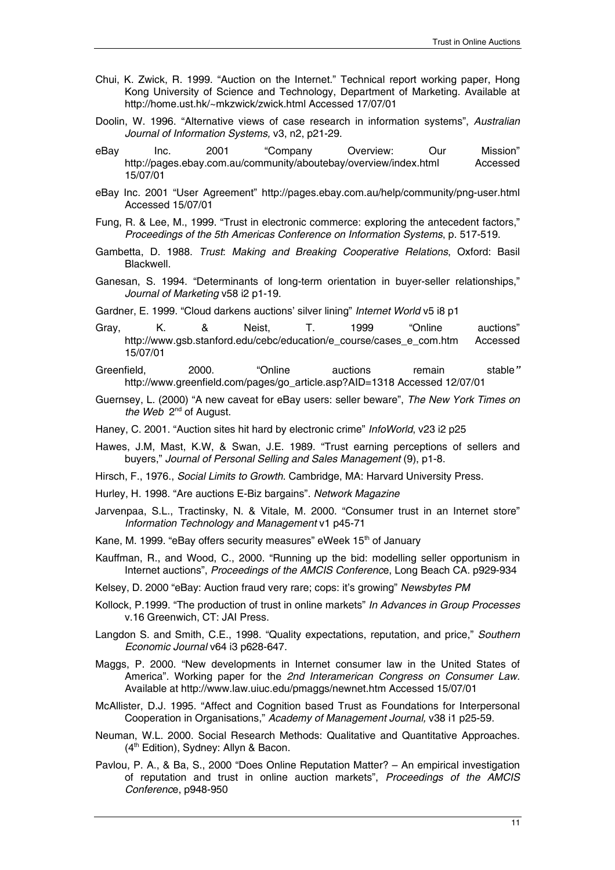- Chui, K. Zwick, R. 1999. "Auction on the Internet." Technical report working paper, Hong Kong University of Science and Technology, Department of Marketing. Available at http://home.ust.hk/~mkzwick/zwick.html Accessed 17/07/01
- Doolin, W. 1996. "Alternative views of case research in information systems", *Australian Journal of Information Systems,* v3, n2, p21-29.
- eBay Inc. 2001 "Company Overview: Our Mission" http://pages.ebay.com.au/community/aboutebay/overview/index.html Accessed 15/07/01
- eBay Inc. 2001 "User Agreement" http://pages.ebay.com.au/help/community/png-user.html Accessed 15/07/01
- Fung, R. & Lee, M., 1999. "Trust in electronic commerce: exploring the antecedent factors," *Proceedings of the 5th Americas Conference on Information Systems*, p. 517-519.
- Gambetta, D. 1988. *Trust: Making and Breaking Cooperative Relations*, Oxford: Basil Blackwell.
- Ganesan, S. 1994. "Determinants of long-term orientation in buyer-seller relationships," *Journal of Marketing* v58 i2 p1-19.
- Gardner, E. 1999. "Cloud darkens auctions' silver lining" *Internet World* v5 i8 p1
- Gray, K. & Neist, T. 1999 "Online auctions" http://www.gsb.stanford.edu/cebc/education/e\_course/cases\_e\_com.htm Accessed 15/07/01
- Greenfield, 2000. "Online auctions remain stable*"*  http://www.greenfield.com/pages/go\_article.asp?AID=1318 Accessed 12/07/01
- Guernsey, L. (2000) "A new caveat for eBay users: seller beware", *The New York Times on*  the Web 2<sup>nd</sup> of August.
- Haney, C. 2001. "Auction sites hit hard by electronic crime" *InfoWorld*, v23 i2 p25
- Hawes, J.M, Mast, K.W, & Swan, J.E. 1989. "Trust earning perceptions of sellers and buyers," *Journal of Personal Selling and Sales Management* (9), p1-8.
- Hirsch, F., 1976., *Social Limits to Growth*. Cambridge, MA: Harvard University Press.
- Hurley, H. 1998. "Are auctions E-Biz bargains". *Network Magazine*
- Jarvenpaa, S.L., Tractinsky, N. & Vitale, M. 2000. "Consumer trust in an Internet store" *Information Technology and Management* v1 p45-71
- Kane, M. 1999. "eBay offers security measures" eWeek 15<sup>th</sup> of January
- Kauffman, R., and Wood, C., 2000. "Running up the bid: modelling seller opportunism in Internet auctions", *Proceedings of the AMCIS Conferenc*e, Long Beach CA. p929-934
- Kelsey, D. 2000 "eBay: Auction fraud very rare; cops: it's growing" *Newsbytes PM*
- Kollock, P.1999. "The production of trust in online markets" *In Advances in Group Processes* v.16 Greenwich, CT: JAI Press.
- Langdon S. and Smith, C.E., 1998. "Quality expectations, reputation, and price," *Southern Economic Journal* v64 i3 p628-647.
- Maggs, P. 2000. "New developments in Internet consumer law in the United States of America". Working paper for the *2nd Interamerican Congress on Consumer Law.*  Available at http://www.law.uiuc.edu/pmaggs/newnet.htm Accessed 15/07/01
- McAllister, D.J. 1995. "Affect and Cognition based Trust as Foundations for Interpersonal Cooperation in Organisations," *Academy of Management Journal,* v38 i1 p25-59.
- Neuman, W.L. 2000. Social Research Methods: Qualitative and Quantitative Approaches. (4<sup>th</sup> Edition), Sydney: Allyn & Bacon.
- Pavlou, P. A., & Ba, S., 2000 "Does Online Reputation Matter? An empirical investigation of reputation and trust in online auction markets", *Proceedings of the AMCIS Conferenc*e, p948-950